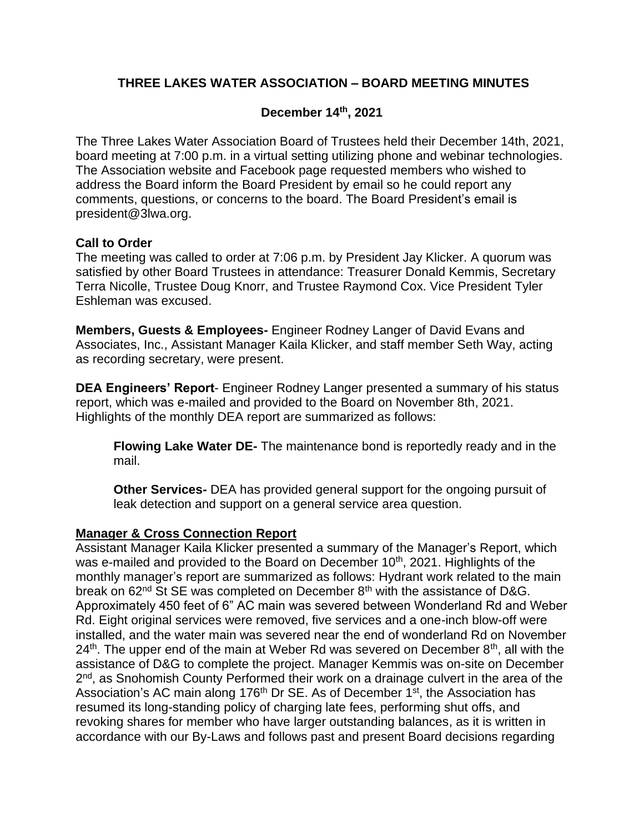# **THREE LAKES WATER ASSOCIATION – BOARD MEETING MINUTES**

## **December 14th, 2021**

The Three Lakes Water Association Board of Trustees held their December 14th, 2021, board meeting at 7:00 p.m. in a virtual setting utilizing phone and webinar technologies. The Association website and Facebook page requested members who wished to address the Board inform the Board President by email so he could report any comments, questions, or concerns to the board. The Board President's email is president@3lwa.org.

## **Call to Order**

The meeting was called to order at 7:06 p.m. by President Jay Klicker. A quorum was satisfied by other Board Trustees in attendance: Treasurer Donald Kemmis, Secretary Terra Nicolle, Trustee Doug Knorr, and Trustee Raymond Cox. Vice President Tyler Eshleman was excused.

**Members, Guests & Employees-** Engineer Rodney Langer of David Evans and Associates, Inc., Assistant Manager Kaila Klicker, and staff member Seth Way, acting as recording secretary, were present.

**DEA Engineers' Report**- Engineer Rodney Langer presented a summary of his status report, which was e-mailed and provided to the Board on November 8th, 2021. Highlights of the monthly DEA report are summarized as follows:

**Flowing Lake Water DE-** The maintenance bond is reportedly ready and in the mail.

**Other Services-** DEA has provided general support for the ongoing pursuit of leak detection and support on a general service area question.

## **Manager & Cross Connection Report**

Assistant Manager Kaila Klicker presented a summary of the Manager's Report, which was e-mailed and provided to the Board on December 10<sup>th</sup>, 2021. Highlights of the monthly manager's report are summarized as follows: Hydrant work related to the main break on 62<sup>nd</sup> St SE was completed on December 8<sup>th</sup> with the assistance of D&G. Approximately 450 feet of 6" AC main was severed between Wonderland Rd and Weber Rd. Eight original services were removed, five services and a one-inch blow-off were installed, and the water main was severed near the end of wonderland Rd on November  $24<sup>th</sup>$ . The upper end of the main at Weber Rd was severed on December  $8<sup>th</sup>$ , all with the assistance of D&G to complete the project. Manager Kemmis was on-site on December 2<sup>nd</sup>, as Snohomish County Performed their work on a drainage culvert in the area of the Association's AC main along 176<sup>th</sup> Dr SE. As of December 1<sup>st</sup>, the Association has resumed its long-standing policy of charging late fees, performing shut offs, and revoking shares for member who have larger outstanding balances, as it is written in accordance with our By-Laws and follows past and present Board decisions regarding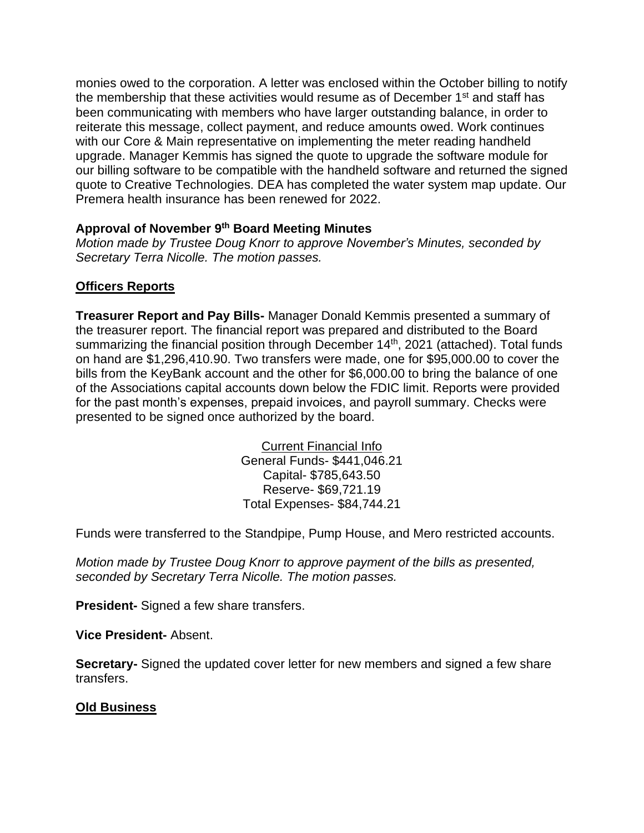monies owed to the corporation. A letter was enclosed within the October billing to notify the membership that these activities would resume as of December  $1<sup>st</sup>$  and staff has been communicating with members who have larger outstanding balance, in order to reiterate this message, collect payment, and reduce amounts owed. Work continues with our Core & Main representative on implementing the meter reading handheld upgrade. Manager Kemmis has signed the quote to upgrade the software module for our billing software to be compatible with the handheld software and returned the signed quote to Creative Technologies. DEA has completed the water system map update. Our Premera health insurance has been renewed for 2022.

## **Approval of November 9 th Board Meeting Minutes**

*Motion made by Trustee Doug Knorr to approve November's Minutes, seconded by Secretary Terra Nicolle. The motion passes.*

# **Officers Reports**

**Treasurer Report and Pay Bills-** Manager Donald Kemmis presented a summary of the treasurer report. The financial report was prepared and distributed to the Board summarizing the financial position through December 14<sup>th</sup>, 2021 (attached). Total funds on hand are \$1,296,410.90. Two transfers were made, one for \$95,000.00 to cover the bills from the KeyBank account and the other for \$6,000.00 to bring the balance of one of the Associations capital accounts down below the FDIC limit. Reports were provided for the past month's expenses, prepaid invoices, and payroll summary. Checks were presented to be signed once authorized by the board.

> Current Financial Info General Funds- \$441,046.21 Capital- \$785,643.50 Reserve- \$69,721.19 Total Expenses- \$84,744.21

Funds were transferred to the Standpipe, Pump House, and Mero restricted accounts.

*Motion made by Trustee Doug Knorr to approve payment of the bills as presented, seconded by Secretary Terra Nicolle. The motion passes.*

**President-** Signed a few share transfers.

**Vice President-** Absent.

**Secretary-** Signed the updated cover letter for new members and signed a few share transfers.

# **Old Business**